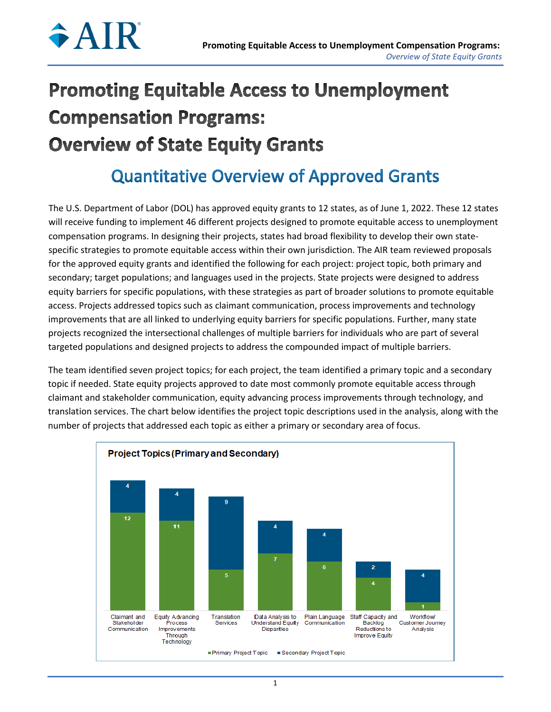

# **Promoting Equitable Access to Unemployment Compensation Programs: Overview of State Equity Grants**

# **Quantitative Overview of Approved Grants**

The U.S. Department of Labor (DOL) has approved equity grants to 12 states, as of June 1, 2022. These 12 states will receive funding to implement 46 different projects designed to promote equitable access to unemployment compensation programs. In designing their projects, states had broad flexibility to develop their own statespecific strategies to promote equitable access within their own jurisdiction. The AIR team reviewed proposals for the approved equity grants and identified the following for each project: project topic, both primary and secondary; target populations; and languages used in the projects. State projects were designed to address equity barriers for specific populations, with these strategies as part of broader solutions to promote equitable access. Projects addressed topics such as claimant communication, process improvements and technology improvements that are all linked to underlying equity barriers for specific populations. Further, many state projects recognized the intersectional challenges of multiple barriers for individuals who are part of several targeted populations and designed projects to address the compounded impact of multiple barriers.

The team identified seven project topics; for each project, the team identified a primary topic and a secondary topic if needed. State equity projects approved to date most commonly promote equitable access through claimant and stakeholder communication, equity advancing process improvements through technology, and translation services. The chart below identifies the project topic descriptions used in the analysis, along with the number of projects that addressed each topic as either a primary or secondary area of focus.

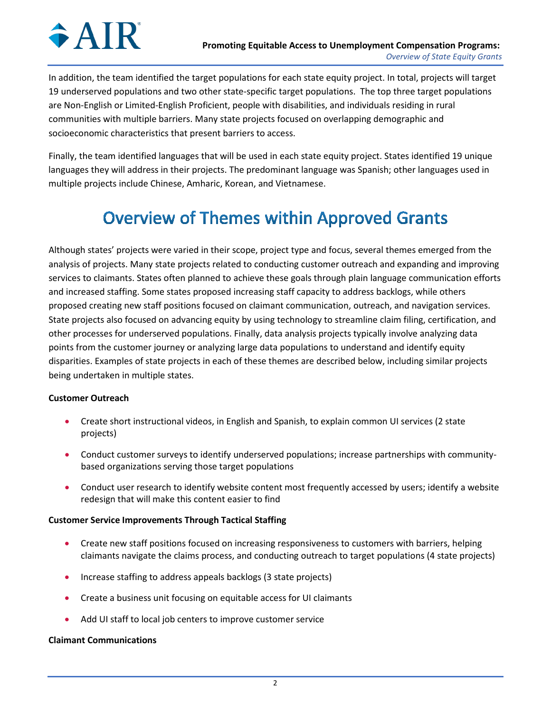In addition, the team identified the target populations for each state equity project. In total, projects will target 19 underserved populations and two other state-specific target populations. The top three target populations are Non-English or Limited-English Proficient, people with disabilities, and individuals residing in rural communities with multiple barriers. Many state projects focused on overlapping demographic and socioeconomic characteristics that present barriers to access.

Finally, the team identified languages that will be used in each state equity project. States identified 19 unique languages they will address in their projects. The predominant language was Spanish; other languages used in multiple projects include Chinese, Amharic, Korean, and Vietnamese.

# **Overview of Themes within Approved Grants**

Although states' projects were varied in their scope, project type and focus, several themes emerged from the analysis of projects. Many state projects related to conducting customer outreach and expanding and improving services to claimants. States often planned to achieve these goals through plain language communication efforts and increased staffing. Some states proposed increasing staff capacity to address backlogs, while others proposed creating new staff positions focused on claimant communication, outreach, and navigation services. State projects also focused on advancing equity by using technology to streamline claim filing, certification, and other processes for underserved populations. Finally, data analysis projects typically involve analyzing data points from the customer journey or analyzing large data populations to understand and identify equity disparities. Examples of state projects in each of these themes are described below, including similar projects being undertaken in multiple states.

## **Customer Outreach**

- Create short instructional videos, in English and Spanish, to explain common UI services (2 state projects)
- Conduct customer surveys to identify underserved populations; increase partnerships with communitybased organizations serving those target populations
- Conduct user research to identify website content most frequently accessed by users; identify a website redesign that will make this content easier to find

## **Customer Service Improvements Through Tactical Staffing**

- Create new staff positions focused on increasing responsiveness to customers with barriers, helping claimants navigate the claims process, and conducting outreach to target populations (4 state projects)
- Increase staffing to address appeals backlogs (3 state projects)
- Create a business unit focusing on equitable access for UI claimants
- Add UI staff to local job centers to improve customer service

## **Claimant Communications**